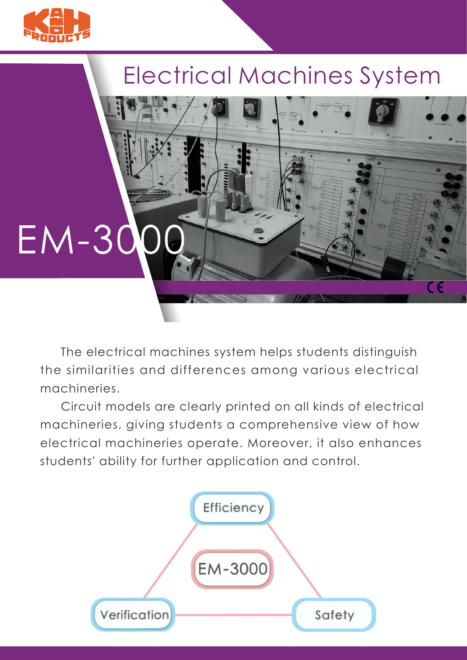

## Electrical Machines System

 $\overline{\mathsf{CE}}$ 



 The electrical machines system helps students distinguish the similarities and differences among various electrical machineries.

 Circuit models are clearly printed on all kinds of electrical machineries, giving students a comprehensive view of how electrical machineries operate. Moreover, it also enhances students' ability for further application and control.

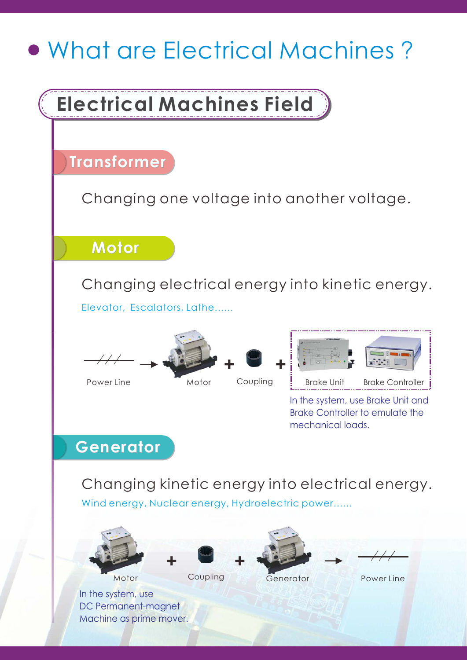## What are Electrical Machines ? Changing one voltage into another voltage. Changing electrical energy into kinetic energy. Changing kinetic energy into electrical energy. Elevator, Escalators, Lathe...... Wind energy, Nuclear energy, Hydroelectric power...... Power Line Power Line Motor Motor Coupling Generator Coupling Coupling Brake Unit Brake Controller In the system, use Brake Unit and Brake Controller to emulate the mechanical loads. In the system, use DC Permanent-magnet Machine as prime mover. **+ + + + Electrical Machines Field Transformer Generator Generator Motor Motor**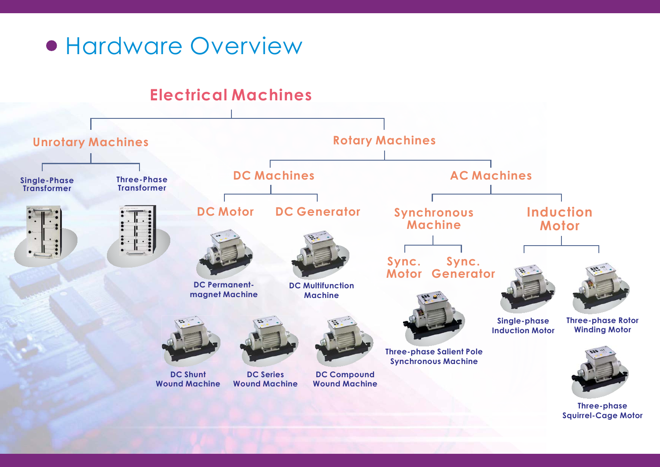

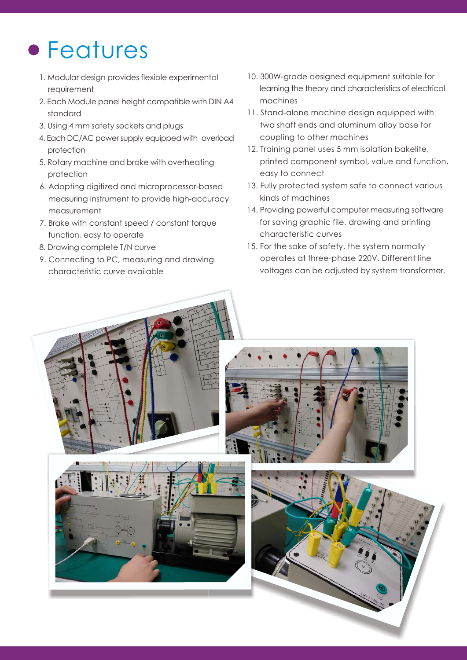## Features

- 1. Modular design provides flexible experimental requirement
- 2. Each Module panel height compatible with DIN A4 standard
- 3. Using 4 mm safety sockets and plugs
- 4. Each DC/AC power supply equipped with overload protection
- 5. Rotary machine and brake with overheating protection
- 6. Adopting digitized and microprocessor-based measuring instrument to provide high-accuracy measurement
- 7. Brake with constant speed / constant torque function, easy to operate
- 8. Drawing complete T/N curve
- 9. Connecting to PC, measuring and drawing characteristic curve available
- 10. 300W-grade designed equipment suitable for learning the theory and characteristics of electrical machines
- 11. Stand-alone machine design equipped with two shaft ends and aluminum alloy base for coupling to other machines
- 12. Training panel uses 5 mm isolation bakelite, printed component symbol, value and function, easy to connect
- 13. Fully protected system safe to connect various kinds of machines
- 14. Providing powerful computer measuring software for saving graphic file, drawing and printing characteristic curves
- 15. For the sake of safety, the system normally operates at three-phase 220V. Different line voltages can be adjusted by system transformer.